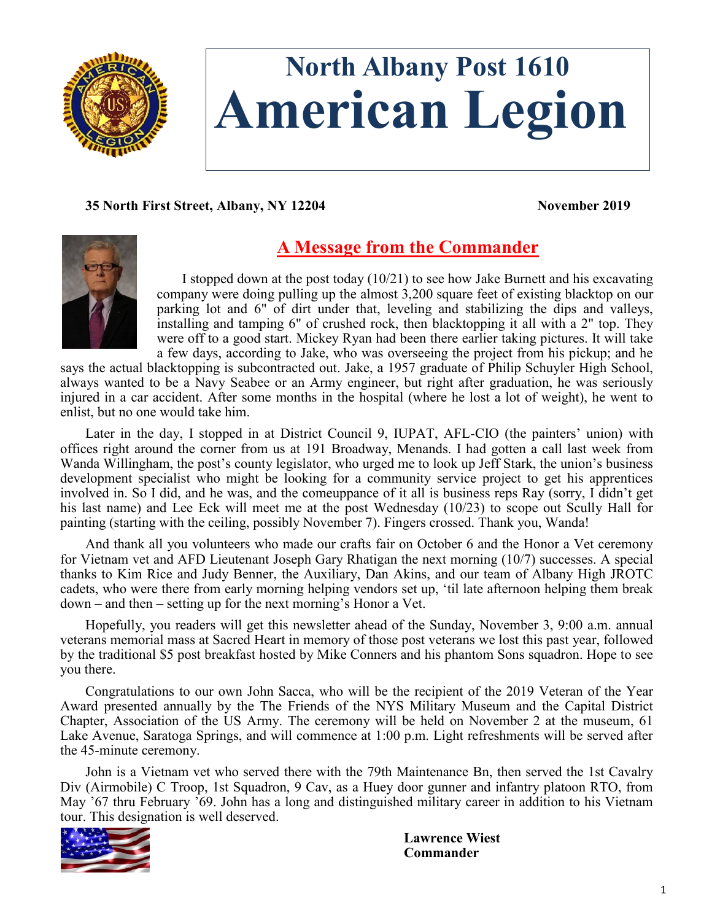

# **North Albany Post 1610 American Legion**

# **35 North First Street, Albany, NY 12204 November 2019**



# **A Message from the Commander**

I stopped down at the post today  $(10/21)$  to see how Jake Burnett and his excavating company were doing pulling up the almost 3,200 square feet of existing blacktop on our parking lot and 6" of dirt under that, leveling and stabilizing the dips and valleys, installing and tamping 6" of crushed rock, then blacktopping it all with a 2" top. They were off to a good start. Mickey Ryan had been there earlier taking pictures. It will take a few days, according to Jake, who was overseeing the project from his pickup; and he

says the actual blacktopping is subcontracted out. Jake, a 1957 graduate of Philip Schuyler High School, always wanted to be a Navy Seabee or an Army engineer, but right after graduation, he was seriously injured in a car accident. After some months in the hospital (where he lost a lot of weight), he went to enlist, but no one would take him.

Later in the day, I stopped in at District Council 9, IUPAT, AFL-CIO (the painters' union) with offices right around the corner from us at 191 Broadway, Menands. I had gotten a call last week from Wanda Willingham, the post's county legislator, who urged me to look up Jeff Stark, the union's business development specialist who might be looking for a community service project to get his apprentices involved in. So I did, and he was, and the comeuppance of it all is business reps Ray (sorry, I didn't get his last name) and Lee Eck will meet me at the post Wednesday (10/23) to scope out Scully Hall for painting (starting with the ceiling, possibly November 7). Fingers crossed. Thank you, Wanda!

And thank all you volunteers who made our crafts fair on October 6 and the Honor a Vet ceremony for Vietnam vet and AFD Lieutenant Joseph Gary Rhatigan the next morning (10/7) successes. A special thanks to Kim Rice and Judy Benner, the Auxiliary, Dan Akins, and our team of Albany High JROTC cadets, who were there from early morning helping vendors set up, 'til late afternoon helping them break down – and then – setting up for the next morning's Honor a Vet.

Hopefully, you readers will get this newsletter ahead of the Sunday, November 3, 9:00 a.m. annual veterans memorial mass at Sacred Heart in memory of those post veterans we lost this past year, followed by the traditional \$5 post breakfast hosted by Mike Conners and his phantom Sons squadron. Hope to see you there.

Congratulations to our own John Sacca, who will be the recipient of the 2019 Veteran of the Year Award presented annually by the The Friends of the NYS Military Museum and the Capital District Chapter, Association of the US Army. The ceremony will be held on November 2 at the museum, 61 Lake Avenue, Saratoga Springs, and will commence at 1:00 p.m. Light refreshments will be served after the 45-minute ceremony.

John is a Vietnam vet who served there with the 79th Maintenance Bn, then served the 1st Cavalry Div (Airmobile) C Troop, 1st Squadron, 9 Cav, as a Huey door gunner and infantry platoon RTO, from May '67 thru February '69. John has a long and distinguished military career in addition to his Vietnam tour. This designation is well deserved.



**Lawrence Wiest Commander**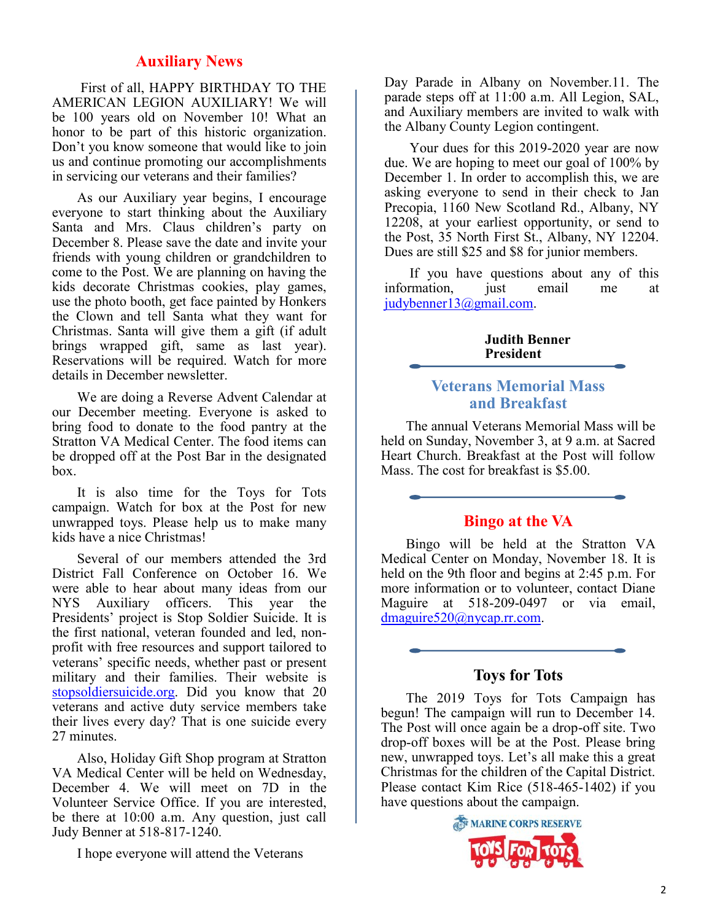# **Auxiliary News**

First of all, HAPPY BIRTHDAY TO THE AMERICAN LEGION AUXILIARY! We will be 100 years old on November 10! What an honor to be part of this historic organization. Don't you know someone that would like to join us and continue promoting our accomplishments in servicing our veterans and their families?

As our Auxiliary year begins, I encourage everyone to start thinking about the Auxiliary Santa and Mrs. Claus children's party on December 8. Please save the date and invite your friends with young children or grandchildren to come to the Post. We are planning on having the kids decorate Christmas cookies, play games, use the photo booth, get face painted by Honkers the Clown and tell Santa what they want for Christmas. Santa will give them a gift (if adult brings wrapped gift, same as last year). Reservations will be required. Watch for more details in December newsletter.

We are doing a Reverse Advent Calendar at our December meeting. Everyone is asked to bring food to donate to the food pantry at the Stratton VA Medical Center. The food items can be dropped off at the Post Bar in the designated box.

It is also time for the Toys for Tots campaign. Watch for box at the Post for new unwrapped toys. Please help us to make many kids have a nice Christmas!

Several of our members attended the 3rd District Fall Conference on October 16. We were able to hear about many ideas from our NYS Auxiliary officers. This year the Presidents' project is Stop Soldier Suicide. It is the first national, veteran founded and led, nonprofit with free resources and support tailored to veterans' specific needs, whether past or present military and their families. Their website is [stopsoldiersuicide.org.](https://stopsoldiersuicide.org/) Did you know that 20 veterans and active duty service members take their lives every day? That is one suicide every 27 minutes.

Also, Holiday Gift Shop program at Stratton VA Medical Center will be held on Wednesday, December 4. We will meet on 7D in the Volunteer Service Office. If you are interested, be there at 10:00 a.m. Any question, just call Judy Benner at 518-817-1240.

I hope everyone will attend the Veterans

Day Parade in Albany on November.11. The parade steps off at 11:00 a.m. All Legion, SAL, and Auxiliary members are invited to walk with the Albany County Legion contingent.

Your dues for this 2019-2020 year are now due. We are hoping to meet our goal of 100% by December 1. In order to accomplish this, we are asking everyone to send in their check to Jan Precopia, 1160 New Scotland Rd., Albany, NY 12208, at your earliest opportunity, or send to the Post, 35 North First St., Albany, NY 12204. Dues are still \$25 and \$8 for junior members.

If you have questions about any of this information, just email me at [judybenner13@gmail.com.](mailto:judybenner13@gmail.com)

#### **Judith Benner President**

# **Veterans Memorial Mass and Breakfast**

The annual Veterans Memorial Mass will be held on Sunday, November 3, at 9 a.m. at Sacred Heart Church. Breakfast at the Post will follow Mass. The cost for breakfast is \$5.00.

# **Bingo at the VA**

Bingo will be held at the Stratton VA Medical Center on Monday, November 18. It is held on the 9th floor and begins at 2:45 p.m. For more information or to volunteer, contact Diane Maguire at 518-209-0497 or via email, [dmaguire520@nycap.rr.com.](mailto:dmaguire520@nycap.rr.com)

# **Toys for Tots**

The 2019 Toys for Tots Campaign has begun! The campaign will run to December 14. The Post will once again be a drop-off site. Two drop-off boxes will be at the Post. Please bring new, unwrapped toys. Let's all make this a great Christmas for the children of the Capital District. Please contact Kim Rice (518-465-1402) if you have questions about the campaign.

MARINE CORPS RESERVE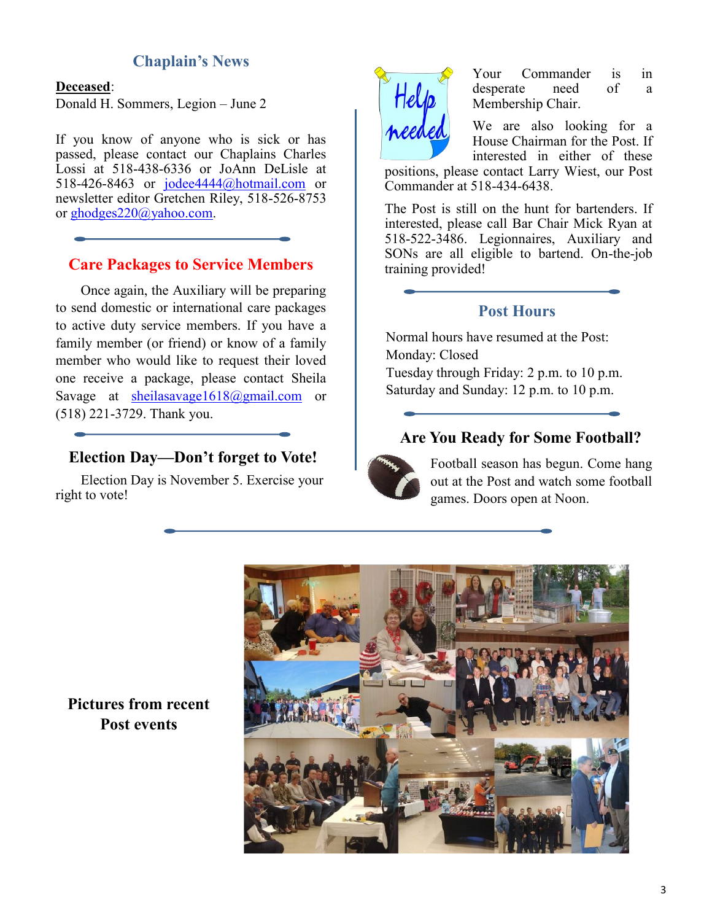# **Chaplain's News**

#### **Deceased**:

Donald H. Sommers, Legion – June 2

If you know of anyone who is sick or has passed, please contact our Chaplains Charles Lossi at 518-438-6336 or JoAnn DeLisle at 518-426-8463 or [jodee4444@hotmail.com](mailto:jodee4444@hotmail.com) or newsletter editor Gretchen Riley, 518-526-8753 or [ghodges220@yahoo.com.](mailto:ghodges220@yahoo.com)

### **Care Packages to Service Members**

Once again, the Auxiliary will be preparing to send domestic or international care packages to active duty service members. If you have a family member (or friend) or know of a family member who would like to request their loved one receive a package, please contact Sheila Savage at [sheilasavage1618@gmail.com](mailto:sheilasavage1618@gmail.com) or (518) 221-3729. Thank you.

# **Election Day—Don't forget to Vote!**

Election Day is November 5. Exercise your right to vote!



Your Commander is in desperate need of a Membership Chair.

We are also looking for a House Chairman for the Post. If interested in either of these

positions, please contact Larry Wiest, our Post Commander at 518-434-6438.

The Post is still on the hunt for bartenders. If interested, please call Bar Chair Mick Ryan at 518-522-3486. Legionnaires, Auxiliary and SONs are all eligible to bartend. On-the-job training provided!

# **Post Hours**

Normal hours have resumed at the Post: Monday: Closed Tuesday through Friday: 2 p.m. to 10 p.m. Saturday and Sunday: 12 p.m. to 10 p.m.

# **Are You Ready for Some Football?**



Football season has begun. Come hang out at the Post and watch some football games. Doors open at Noon.



**Pictures from recent Post events**